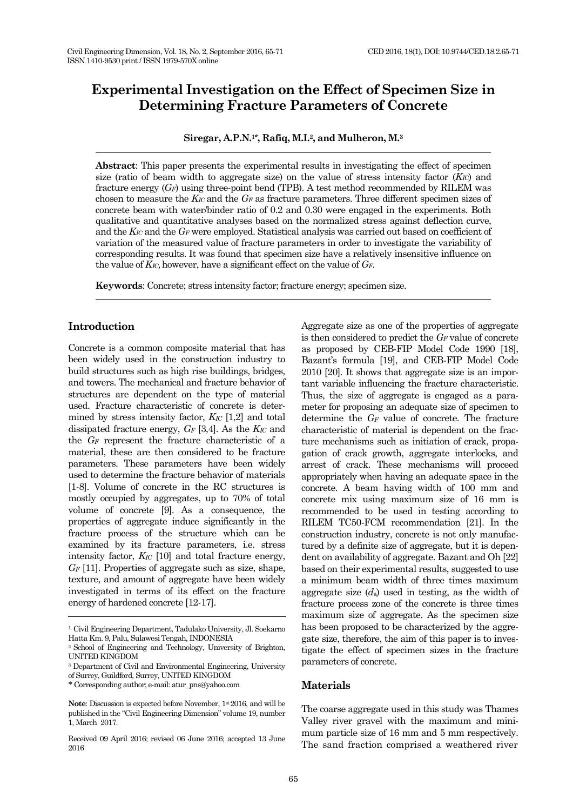# **Experimental Investigation on the Effect of Specimen Size in Determining Fracture Parameters of Concrete**

**Siregar, A.P.N.1\* , Rafiq, M.I.2, and Mulheron, M. 3**

**Abstract**: This paper presents the experimental results in investigating the effect of specimen size (ratio of beam width to aggregate size) on the value of stress intensity factor (*KIC*) and fracture energy (*GF*) using three-point bend (TPB). A test method recommended by RILEM was chosen to measure the *KIC* and the *G<sup>F</sup>* as fracture parameters. Three different specimen sizes of concrete beam with water/binder ratio of 0.2 and 0.30 were engaged in the experiments. Both qualitative and quantitative analyses based on the normalized stress against deflection curve, and the *KIC* and the *G<sup>F</sup>* were employed. Statistical analysis was carried out based on coefficient of variation of the measured value of fracture parameters in order to investigate the variability of corresponding results. It was found that specimen size have a relatively insensitive influence on the value of *KIC,*however, have a significant effect on the value of *GF*.

**Keywords**: Concrete; stress intensity factor; fracture energy; specimen size.

# **Introduction**

Concrete is a common composite material that has been widely used in the construction industry to build structures such as high rise buildings, bridges, and towers. The mechanical and fracture behavior of structures are dependent on the type of material used. Fracture characteristic of concrete is determined by stress intensity factor, *KIC* [1,2] and total dissipated fracture energy, *G<sup>F</sup>* [3,4]. As the *KIC* and the *G<sup>F</sup>* represent the fracture characteristic of a material, these are then considered to be fracture parameters. These parameters have been widely used to determine the fracture behavior of materials [1-8]. Volume of concrete in the RC structures is mostly occupied by aggregates, up to 70% of total volume of concrete [9]. As a consequence, the properties of aggregate induce significantly in the fracture process of the structure which can be examined by its fracture parameters, i.e. stress intensity factor, *KIC* [10] and total fracture energy, *G<sup>F</sup>* [11]. Properties of aggregate such as size, shape, texture, and amount of aggregate have been widely investigated in terms of its effect on the fracture energy of hardened concrete [12-17].

Aggregate size as one of the properties of aggregate is then considered to predict the *G<sup>F</sup>* value of concrete as proposed by CEB-FIP Model Code 1990 [18], Bazant's formula [19], and CEB-FIP Model Code 2010 [20]. It shows that aggregate size is an important variable influencing the fracture characteristic. Thus, the size of aggregate is engaged as a parameter for proposing an adequate size of specimen to determine the *G<sup>F</sup>* value of concrete. The fracture characteristic of material is dependent on the fracture mechanisms such as initiation of crack, propagation of crack growth, aggregate interlocks, and arrest of crack. These mechanisms will proceed appropriately when having an adequate space in the concrete. A beam having width of 100 mm and concrete mix using maximum size of 16 mm is recommended to be used in testing according to RILEM TC50-FCM recommendation [21]. In the construction industry, concrete is not only manufactured by a definite size of aggregate, but it is dependent on availability of aggregate. Bazant and Oh [22] based on their experimental results, suggested to use a minimum beam width of three times maximum aggregate size (*d*a) used in testing, as the width of fracture process zone of the concrete is three times maximum size of aggregate. As the specimen size has been proposed to be characterized by the aggregate size, therefore, the aim of this paper is to investigate the effect of specimen sizes in the fracture parameters of concrete.

#### **Materials**

The coarse aggregate used in this study was Thames Valley river gravel with the maximum and minimum particle size of 16 mm and 5 mm respectively. The sand fraction comprised a weathered river

<sup>1.</sup> Civil Engineering Department, Tadulako University, Jl. Soekarno Hatta Km. 9, Palu, Sulawesi Tengah, INDONESIA

<sup>&</sup>lt;sup>2</sup> School of Engineering and Technology, University of Brighton, UNITED KINGDOM

<sup>3</sup> Department of Civil and Environmental Engineering, University of Surrey, Guildford, Surrey, UNITED KINGDOM

<sup>\*</sup> Corresponding author; e-mail[: atur\\_pns@yahoo.com](mailto:atur_pns@yahoo.com)

Note: Discussion is expected before November, 1<sup>st</sup> 2016, and will be published in the "Civil Engineering Dimension" volume 19, number 1, March 2017.

Received 09 April 2016; revised 06 June 2016; accepted 13 June 2016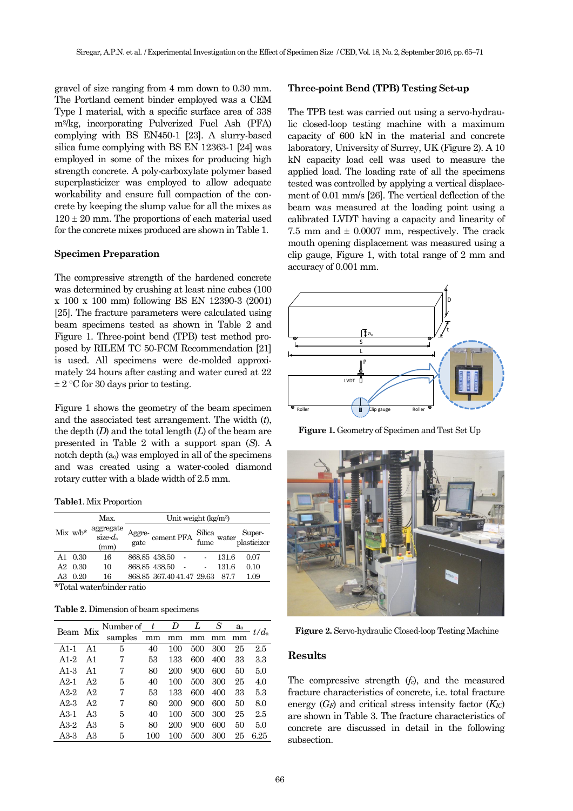gravel of size ranging from 4 mm down to 0.30 mm. The Portland cement binder employed was a CEM Type I material, with a specific surface area of 338 m2/kg, incorporating Pulverized Fuel Ash (PFA) complying with BS EN450-1 [23]. A slurry-based silica fume complying with BS EN 12363-1 [24] was employed in some of the mixes for producing high strength concrete. A poly-carboxylate polymer based superplasticizer was employed to allow adequate workability and ensure full compaction of the concrete by keeping the slump value for all the mixes as  $120 \pm 20$  mm. The proportions of each material used for the concrete mixes produced are shown in Table 1.

#### **Specimen Preparation**

The compressive strength of the hardened concrete was determined by crushing at least nine cubes (100 x 100 x 100 mm) following BS EN 12390-3 (2001) [25]. The fracture parameters were calculated using beam specimens tested as shown in Table 2 and Figure 1. Three-point bend (TPB) test method proposed by RILEM TC 50-FCM Recommendation [21] is used. All specimens were de-molded approximately 24 hours after casting and water cured at 22  $\pm$  2 °C for 30 days prior to testing.

Figure 1 shows the geometry of the beam specimen and the associated test arrangement. The width (*t*), the depth (*D*) and the total length (*L*) of the beam are presented in Table 2 with a support span (*S*). A notch depth (ao) was employed in all of the specimens and was created using a water-cooled diamond rotary cutter with a blade width of 2.5 mm.

**Table1**. Mix Proportion

|    | $Mix w/b*$    | Max.                                         | Unit weight (kg/m <sup>3</sup> )  |                           |  |  |       |                                                          |  |  |
|----|---------------|----------------------------------------------|-----------------------------------|---------------------------|--|--|-------|----------------------------------------------------------|--|--|
|    |               | aggregate<br>size- $d_a$<br>(mm)             | Aggre-<br>$\frac{1}{\text{gate}}$ |                           |  |  |       | cement PFA Silica water Super-<br>fume water plasticizer |  |  |
| A1 | 0.30          | 16                                           |                                   | 868.85 438.50             |  |  | 131.6 | 0.07                                                     |  |  |
| A2 | 0.30          | 10                                           |                                   | 868.85 438.50             |  |  | 131.6 | 0.10                                                     |  |  |
| A3 | 0.20          | 16                                           |                                   | 868.85 367.40 41.47 29.63 |  |  | 87.7  | 1.09                                                     |  |  |
|    | $\mathbf{1.}$ | $\overline{a}$ $\overline{a}$ $\overline{a}$ | $\cdot$ .                         |                           |  |  |       |                                                          |  |  |

\*Total water/binder ratio

**Table 2.** Dimension of beam specimens

| Beam Mix          |                | Number of $t$ $D$ |     |     | L   | S   |    | $rac{a_0}{\cdots}$ t/d <sub>a</sub> |  |
|-------------------|----------------|-------------------|-----|-----|-----|-----|----|-------------------------------------|--|
|                   |                | samples           | mm  | mm  | mm  | mm  | mm |                                     |  |
| $A1-1$            | A1             | 5                 | 40  | 100 | 500 | 300 | 25 | 2.5                                 |  |
| A <sub>1</sub> -2 | A <sub>1</sub> | 7                 | 53  | 133 | 600 | 400 | 33 | 3.3                                 |  |
| A1-3              | A1             | 7                 | 80  | 200 | 900 | 600 | 50 | 5.0                                 |  |
| $A2-1$            | A <sub>2</sub> | 5                 | 40  | 100 | 500 | 300 | 25 | 4.0                                 |  |
| $A2-2$            | A <sub>2</sub> | 7                 | 53  | 133 | 600 | 400 | 33 | 5.3                                 |  |
| A2-3              | A <sub>2</sub> | 7                 | 80  | 200 | 900 | 600 | 50 | 8.0                                 |  |
| $A3-1$            | AЗ             | 5                 | 40  | 100 | 500 | 300 | 25 | 2.5                                 |  |
| A3-2              | AЗ             | 5                 | 80  | 200 | 900 | 600 | 50 | 5.0                                 |  |
| A3-3              | A3             | 5                 | 100 | 100 | 500 | 300 | 25 | 6.25                                |  |

## **Three-point Bend (TPB) Testing Set-up**

The TPB test was carried out using a servo-hydraulic closed-loop testing machine with a maximum capacity of 600 kN in the material and concrete laboratory, University of Surrey, UK (Figure 2). A 10 kN capacity load cell was used to measure the applied load. The loading rate of all the specimens tested was controlled by applying a vertical displacement of 0.01 mm/s [26]. The vertical deflection of the beam was measured at the loading point using a calibrated LVDT having a capacity and linearity of 7.5 mm and  $\pm$  0.0007 mm, respectively. The crack mouth opening displacement was measured using a clip gauge, Figure 1, with total range of 2 mm and accuracy of 0.001 mm.



**Figure 1.** Geometry of Specimen and Test Set Up



**Figure 2.** Servo-hydraulic Closed-loop Testing Machine

## **Results**

The compressive strength (*fc*), and the measured fracture characteristics of concrete, i.e. total fracture energy (*GF*) and critical stress intensity factor (*KIC*) are shown in Table 3. The fracture characteristics of concrete are discussed in detail in the following subsection.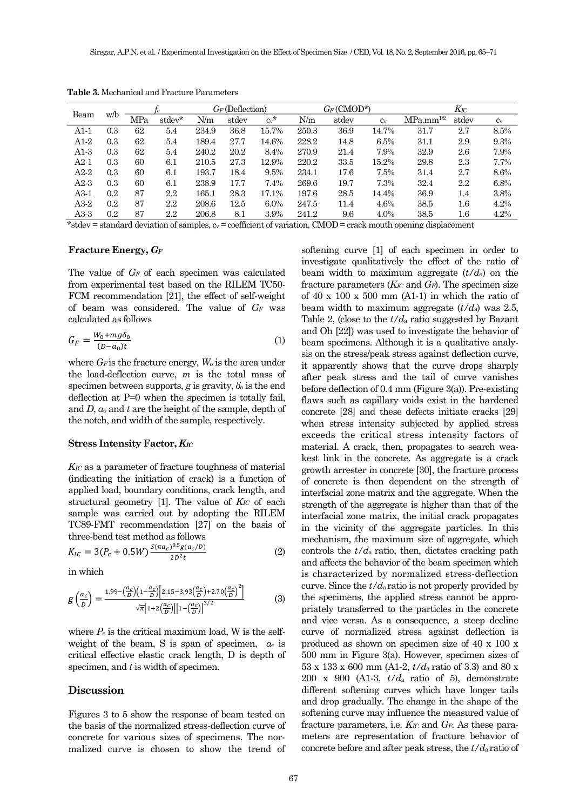| Beam   | w/b |     |         | $G_F$ (Deflection) |       | $G_F$ (CMOD*) |       |       | $K_{\!IC}$ |                |          |       |
|--------|-----|-----|---------|--------------------|-------|---------------|-------|-------|------------|----------------|----------|-------|
|        |     | MPa | stdev*  | N/m                | stdev | $c_v$ *       | N/m   | stdev | $C_V$      | $MPa.mm^{1/2}$ | stdev    | $c_v$ |
| A1-1   | 0.3 | 62  | 5.4     | 234.9              | 36.8  | 15.7%         | 250.3 | 36.9  | 14.7%      | 31.7           | 2.7      | 8.5%  |
| A1-2   | 0.3 | 62  | 5.4     | 189.4              | 27.7  | 14.6%         | 228.2 | 14.8  | 6.5%       | 31.1           | 2.9      | 9.3%  |
| A1-3   | 0.3 | 62  | 5.4     | 240.2              | 20.2  | 8.4%          | 270.9 | 21.4  | 7.9%       | 32.9           | 2.6      | 7.9%  |
| $A2-1$ | 0.3 | 60  | 6.1     | 210.5              | 27.3  | 12.9%         | 220.2 | 33.5  | 15.2%      | 29.8           | 2.3      | 7.7%  |
| A2-2   | 0.3 | 60  | 6.1     | 193.7              | 18.4  | 9.5%          | 234.1 | 17.6  | 7.5%       | 31.4           | 2.7      | 8.6%  |
| $A2-3$ | 0.3 | 60  | 6.1     | 238.9              | 17.7  | 7.4%          | 269.6 | 19.7  | 7.3%       | 32.4           | $2.2\,$  | 6.8%  |
| A3-1   | 0.2 | 87  | $2.2\,$ | $165.1\,$          | 28.3  | 17.1%         | 197.6 | 28.5  | 14.4%      | 36.9           | 1.4      | 3.8%  |
| A3-2   | 0.2 | 87  | $2.2\,$ | 208.6              | 12.5  | 6.0%          | 247.5 | 11.4  | 4.6%       | 38.5           | $^{1.6}$ | 4.2%  |
| A3-3   | 0.2 | 87  | $2.2\,$ | 206.8              | 8.1   | 3.9%          | 241.2 | 9.6   | 4.0%       | 38.5           | $1.6\,$  | 4.2%  |

**Table 3.** Mechanical and Fracture Parameters

\*stdev = standard deviation of samples,  $c_v$  = coefficient of variation, CMOD = crack mouth opening displacement

#### **Fracture Energy,** *G<sup>F</sup>*

The value of *G<sup>F</sup>* of each specimen was calculated from experimental test based on the RILEM TC50- FCM recommendation [21], the effect of self-weight of beam was considered. The value of *G<sup>F</sup>* was calculated as follows

$$
G_F = \frac{W_0 + mg\delta_0}{(D - a_0)t} \tag{1}
$$

where *GF* is the fracture energy, *W<sup>o</sup>* is the area under the load-deflection curve, *m* is the total mass of specimen between supports,  $g$  is gravity,  $\delta_o$  is the end deflection at P=0 when the specimen is totally fail, and *D*, *a<sup>o</sup>* and *t* are the height of the sample, depth of the notch, and width of the sample, respectively.

#### **Stress Intensity Factor,** *KIC*

*KIC* as a parameter of fracture toughness of material (indicating the initiation of crack) is a function of applied load, boundary conditions, crack length, and structural geometry [1]. The value of *KIC* of each sample was carried out by adopting the RILEM TC89-FMT recommendation [27] on the basis of three-bend test method as follows

$$
K_{IC} = 3(P_c + 0.5W) \frac{s(\pi a_c)^{0.5} g(a_c/D)}{2D^2 t}
$$
 (2)

in which

$$
g\left(\frac{a_c}{b}\right) = \frac{1.99 - \left(\frac{a_c}{b}\right)\left(1 - \frac{a_c}{b}\right)\left[2.15 - 3.93\left(\frac{a_c}{b}\right) + 2.70\left(\frac{a_c}{b}\right)^2\right]}{\sqrt{\pi}\left[1 + 2\left(\frac{a_c}{b}\right)\right]\left[1 - \left(\frac{a_c}{b}\right)\right]^{3/2}}\tag{3}
$$

where  $P_c$  is the critical maximum load, W is the selfweight of the beam, S is span of specimen,  $a_c$  is critical effective elastic crack length, D is depth of specimen, and *t* is width of specimen.

#### **Discussion**

Figures 3 to 5 show the response of beam tested on the basis of the normalized stress-deflection curve of concrete for various sizes of specimens. The normalized curve is chosen to show the trend of softening curve [1] of each specimen in order to investigate qualitatively the effect of the ratio of beam width to maximum aggregate (*t/d*a) on the fracture parameters (*KIC* and *GF*). The specimen size of 40 x 100 x 500 mm  $(A1-1)$  in which the ratio of beam width to maximum aggregate (*t/d*a) was 2.5, Table 2, (close to the *t/d*<sup>a</sup> ratio suggested by Bazant and Oh [22]) was used to investigate the behavior of beam specimens. Although it is a qualitative analysis on the stress/peak stress against deflection curve, it apparently shows that the curve drops sharply after peak stress and the tail of curve vanishes before deflection of 0.4 mm (Figure 3(a)). Pre-existing flaws such as capillary voids exist in the hardened concrete [28] and these defects initiate cracks [29] when stress intensity subjected by applied stress exceeds the critical stress intensity factors of material. A crack, then, propagates to search weakest link in the concrete. As aggregate is a crack growth arrester in concrete [30], the fracture process of concrete is then dependent on the strength of interfacial zone matrix and the aggregate. When the strength of the aggregate is higher than that of the interfacial zone matrix, the initial crack propagates in the vicinity of the aggregate particles. In this mechanism, the maximum size of aggregate, which controls the *t/d*a ratio, then, dictates cracking path and affects the behavior of the beam specimen which is characterized by normalized stress-deflection curve. Since the *t/d*a ratio is not properly provided by the specimens, the applied stress cannot be appropriately transferred to the particles in the concrete and vice versa. As a consequence, a steep decline curve of normalized stress against deflection is produced as shown on specimen size of 40 x 100 x 500 mm in Figure 3(a). However, specimen sizes of 53 x 133 x 600 mm (A1-2, *t/d*a ratio of 3.3) and 80 x 200 x 900 (A1-3, *t/d*a ratio of 5), demonstrate different softening curves which have longer tails and drop gradually. The change in the shape of the softening curve may influence the measured value of fracture parameters, i.e. *KIC* and *GF*. As these parameters are representation of fracture behavior of concrete before and after peak stress, the *t/d*a ratio of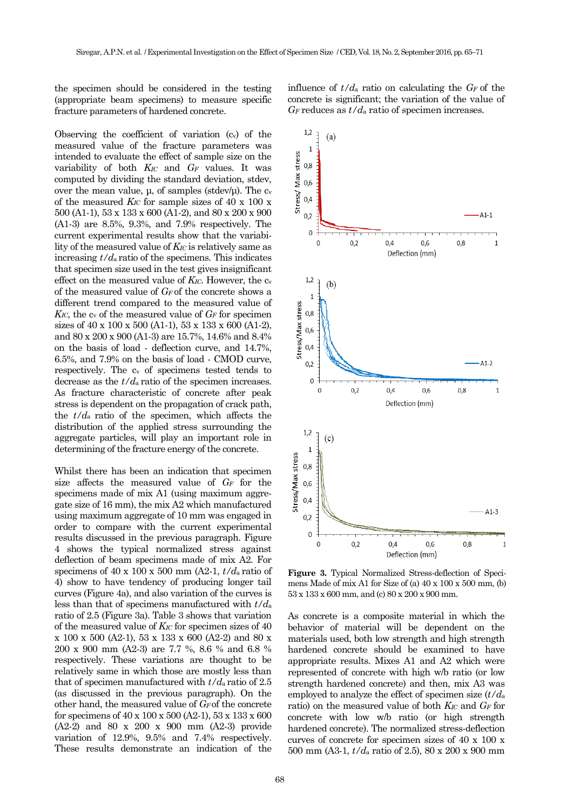the specimen should be considered in the testing (appropriate beam specimens) to measure specific fracture parameters of hardened concrete.

Observing the coefficient of variation (cv) of the measured value of the fracture parameters was intended to evaluate the effect of sample size on the variability of both *KIC* and *G<sup>F</sup>* values. It was computed by dividing the standard deviation, stdev, over the mean value,  $\mu$ , of samples (stdev/ $\mu$ ). The c<sub>v</sub> of the measured *KIC* for sample sizes of 40 x 100 x 500 (A1-1), 53 x 133 x 600 (A1-2), and 80 x 200 x 900 (A1-3) are 8.5%, 9.3%, and 7.9% respectively. The current experimental results show that the variability of the measured value of *KIC* is relatively same as increasing  $t/d_a$  ratio of the specimens. This indicates that specimen size used in the test gives insignificant effect on the measured value of *K<sub>IC*</sub>. However, the c<sub>v</sub> of the measured value of *GF* of the concrete shows a different trend compared to the measured value of  $K_{IC}$ , the  $c_v$  of the measured value of  $G_F$  for specimen sizes of 40 x 100 x 500 (A1-1), 53 x 133 x 600 (A1-2), and 80 x 200 x 900 (A1-3) are 15.7%, 14.6% and 8.4% on the basis of load - deflection curve, and 14.7%, 6.5%, and 7.9% on the basis of load - CMOD curve, respectively. The c<sup>v</sup> of specimens tested tends to decrease as the *t/d*a ratio of the specimen increases. As fracture characteristic of concrete after peak stress is dependent on the propagation of crack path,<br>the  $t/d$  ratio of the graciman which offects the the *t/d*a ratio of the specimen, which affects the distribution of the applied stress surrounding the aggregate particles, will play an important role in determining of the fracture energy of the concrete.

Whilst there has been an indication that specimen size affects the measured value of *G<sup>F</sup>* for the specimens made of mix A1 (using maximum aggregate size of 16 mm), the mix A2 which manufactured using maximum aggregate of 10 mm was engaged in order to compare with the current experimental results discussed in the previous paragraph. Figure 4 shows the typical normalized stress against deflection of beam specimens made of mix A2. For specimens of 40 x 100 x 500 mm (A2-1,  $t/d<sub>a</sub>$  ratio of 4) show to have tendency of producing longer tail curves (Figure 4a), and also variation of the curves is less than that of specimens manufactured with *t/d*<sup>a</sup> ratio of 2.5 (Figure 3a). Table 3 shows that variation of the measured value of *KIC* for specimen sizes of 40 x 100 x 500 (A2-1), 53 x 133 x 600 (A2-2) and 80 x 200 x 900 mm (A2-3) are 7.7 %, 8.6 % and 6.8 % respectively. These variations are thought to be relatively same in which those are mostly less than that of specimen manufactured with *t/d*a ratio of 2.5 (as discussed in the previous paragraph). On the other hand, the measured value of *GF* of the concrete for specimens of 40 x 100 x 500 (A2-1), 53 x 133 x 600 (A2-2) and 80 x 200 x 900 mm (A2-3) provide variation of 12.9%, 9.5% and 7.4% respectively. These results demonstrate an indication of the

influence of  $t/d_a$  ratio on calculating the  $G_F$  of the concrete is significant; the variation of the value of  $G_F$  reduces as  $t/d_a$  ratio of specimen increases.



**Figure 3.** Typical Normalized Stress-deflection of Specimens Made of mix A1 for Size of (a) 40 x 100 x 500 mm, (b) 53 x 133 x 600 mm, and (c) 80 x 200 x 900 mm.

As concrete is a composite material in which the behavior of material will be dependent on the materials used, both low strength and high strength hardened concrete should be examined to have appropriate results. Mixes A1 and A2 which were represented of concrete with high w/b ratio (or low strength hardened concrete) and then, mix A3 was employed to analyze the effect of specimen size (*t/d*<sup>a</sup> ratio) on the measured value of both *KIC* and *G<sup>F</sup>* for concrete with low w/b ratio (or high strength hardened concrete). The normalized stress-deflection curves of concrete for specimen sizes of 40 x 100 x 500 mm (A3-1, *t/d*<sup>a</sup> ratio of 2.5), 80 x 200 x 900 mm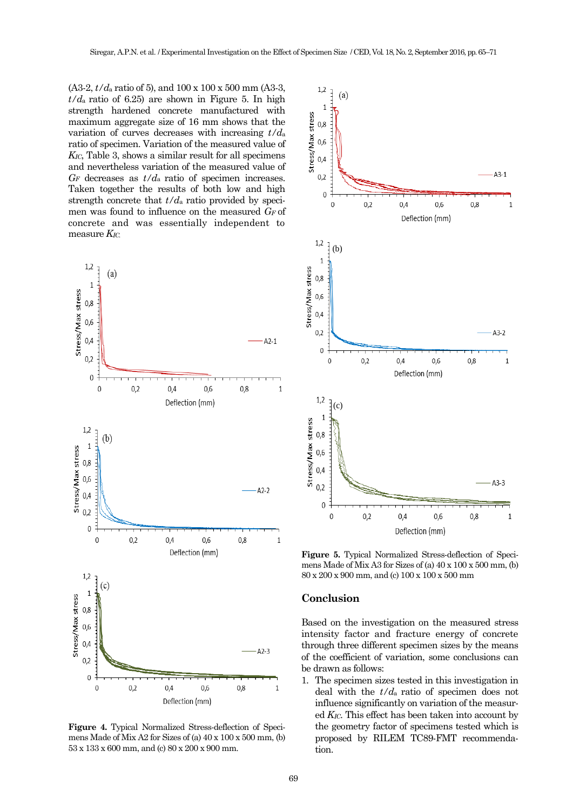(A3-2, *t/d*<sup>a</sup> ratio of 5), and 100 x 100 x 500 mm (A3-3,  $t/d<sub>a</sub>$  ratio of 6.25) are shown in Figure 5. In high strength hardened concrete manufactured with maximum aggregate size of 16 mm shows that the variation of curves decreases with increasing *t/d*<sup>a</sup> ratio of specimen. Variation of the measured value of *KIC*, Table 3, shows a similar result for all specimens and nevertheless variation of the measured value of  $G_F$  decreases as  $t/d_a$  ratio of specimen increases. Taken together the results of both low and high strength concrete that *t/d*<sup>a</sup> ratio provided by specimen was found to influence on the measured *G<sup>F</sup>* of concrete and was essentially independent to measure *KIC.*



**Figure 4.** Typical Normalized Stress-deflection of Specimens Made of Mix A2 for Sizes of (a) 40 x 100 x 500 mm, (b) 53 x 133 x 600 mm, and (c) 80 x 200 x 900 mm.



**Figure 5.** Typical Normalized Stress-deflection of Specimens Made of Mix A3 for Sizes of (a) 40 x 100 x 500 mm, (b) 80 x 200 x 900 mm, and (c) 100 x 100 x 500 mm

### **Conclusion**

Based on the investigation on the measured stress intensity factor and fracture energy of concrete through three different specimen sizes by the means of the coefficient of variation, some conclusions can be drawn as follows:

1. The specimen sizes tested in this investigation in deal with the *t/d*a ratio of specimen does not influence significantly on variation of the measured *KIC*. This effect has been taken into account by the geometry factor of specimens tested which is proposed by RILEM TC89-FMT recommendation.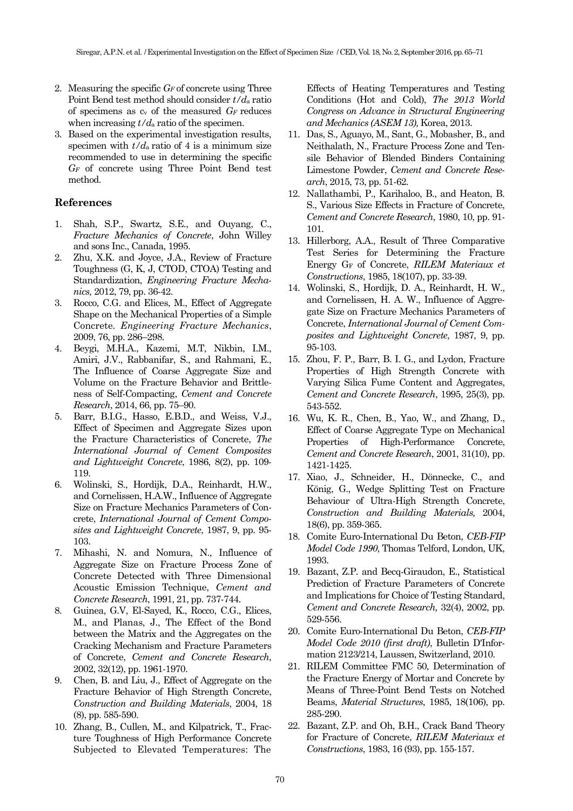- 2. Measuring the specific *G<sup>F</sup>* of concrete using Three Point Bend test method should consider *t/d*<sup>a</sup> ratio of specimens as c<sup>v</sup> of the measured *G<sup>F</sup>* reduces when increasing  $t/d_a$  ratio of the specimen.
- 3. Based on the experimental investigation results, specimen with  $t/d_a$  ratio of 4 is a minimum size recommended to use in determining the specific *G<sup>F</sup>* of concrete using Three Point Bend test method.

# **References**

- 1. Shah, S.P., Swartz, S.E., and Ouyang, C., *Fracture Mechanics of Concrete*, John Willey and sons Inc., Canada, 1995.
- 2. Zhu, X.K. and Joyce, J.A., Review of Fracture Toughness (G, K, J, CTOD, CTOA) Testing and Standardization, *Engineering Fracture Mechanics,* 2012, 79, pp. 36-42.
- 3. Rocco, C.G. and Elices, M., Effect of Aggregate Shape on the Mechanical Properties of a Simple Concrete*. Engineering Fracture Mechanics*, 2009, 76, pp. 286–298.
- 4. Beygi, M.H.A., Kazemi, M.T, Nikbin, I.M., Amiri, J.V., Rabbanifar, S., and Rahmani, E., The Influence of Coarse Aggregate Size and Volume on the Fracture Behavior and Brittleness of Self-Compacting, *Cement and Concrete Research*, 2014, 66, pp. 75–90.
- 5. Barr, B.I.G., Hasso, E.B.D., and Weiss, V.J., Effect of Specimen and Aggregate Sizes upon the Fracture Characteristics of Concrete, *The International Journal of Cement Composites and Lightweight Concrete*, 1986, 8(2), pp. 109- 119.
- 6. Wolinski, S., Hordijk, D.A., Reinhardt, H.W., and Cornelissen, H.A.W., Influence of Aggregate Size on Fracture Mechanics Parameters of Concrete, *International Journal of Cement Composites and Lightweight Concrete*, 1987, 9, pp. 95- 103.
- 7. Mihashi, N. and Nomura, N., Influence of Aggregate Size on Fracture Process Zone of Concrete Detected with Three Dimensional Acoustic Emission Technique, *Cement and Concrete Research*, 1991, 21, pp. 737-744.
- 8. Guinea, G.V, El-Sayed, K., Rocco, C.G., Elices, M., and Planas, J., The Effect of the Bond between the Matrix and the Aggregates on the Cracking Mechanism and Fracture Parameters of Concrete, *Cement and Concrete Research*, 2002, 32(12), pp. 1961-1970.
- 9. [Chen,](http://www.sciencedirect.com/science?_ob=RedirectURL&_method=outwardLink&_partnerName=27983&_origin=article&_zone=art_page&_linkType=scopusAuthorDocuments&_targetURL=http%3A%2F%2Fwww.scopus.com%2Fscopus%2Finward%2Fauthor.url%3FpartnerID%3D10%26rel%3D3.0.0%26sortField%3Dcited%26sortOrder%3Dasc%26author%3DChen,%2520Bing%26authorID%3D7408609181%26md5%3Dc7288881d8f683b319ec441ba6a54c7b&_acct=C000009958&_version=1&_userid=121707&md5=7779617d70361a63a234a4708e284292) B. and [Liu,](http://www.sciencedirect.com/science?_ob=RedirectURL&_method=outwardLink&_partnerName=27983&_origin=article&_zone=art_page&_linkType=scopusAuthorDocuments&_targetURL=http%3A%2F%2Fwww.scopus.com%2Fscopus%2Finward%2Fauthor.url%3FpartnerID%3D10%26rel%3D3.0.0%26sortField%3Dcited%26sortOrder%3Dasc%26author%3DLiu,%2520Juanyu%26authorID%3D7410113103%26md5%3D8e73c4e69a1782cd696d309165c7228c&_acct=C000009958&_version=1&_userid=121707&md5=96f789e5204b1d43559cb29e80875424) J., Effect of Aggregate on the Fracture Behavior of High Strength Concrete, *[Construction](http://www.sciencedirect.com/science/journal/09500618) and Building Materials*, 2004, [18](http://www.sciencedirect.com/science?_ob=PublicationURL&_tockey=%23TOC%235702%232004%23999819991%23511140%23FLA%23&_cdi=5702&_pubType=J&view=c&_auth=y&_acct=C000009958&_version=1&_urlVersion=0&_userid=121707&md5=4fd0e0edd42d77170576fada18d69e5a) [\(8\)](http://www.sciencedirect.com/science?_ob=PublicationURL&_tockey=%23TOC%235702%232004%23999819991%23511140%23FLA%23&_cdi=5702&_pubType=J&view=c&_auth=y&_acct=C000009958&_version=1&_urlVersion=0&_userid=121707&md5=4fd0e0edd42d77170576fada18d69e5a), pp. 585-590.
- 10. Zhang, B., Cullen, M., and Kilpatrick, T., Fracture Toughness of High Performance Concrete Subjected to Elevated Temperatures: The

Effects of Heating Temperatures and Testing Conditions (Hot and Cold), *The 2013 World Congress on Advance in Structural Engineering and Mechanics (ASEM 13),* Korea, 2013.

- 11. Das, S., Aguayo, M., Sant, G., Mobasher, B., and Neithalath, N., Fracture Process Zone and Tensile Behavior of Blended Binders Containing Limestone Powder, *Cement and Concrete Research*, 2015, 73, pp. 51-62.
- 12. Nallathambi, P., Karihaloo, B., and Heaton, B. S., Various Size Effects in Fracture of Concrete, *Cement and Concrete Research*, 1980, 10, pp. 91- 101.
- 13. Hillerborg, A.A., Result of Three Comparative Test Series for Determining the Fracture Energy G<sup>F</sup> of Concrete, *RILEM Materiaux et Constructions*, 1985, 18(107), pp. 33-39.
- 14. Wolinski, S., Hordijk, D. A., Reinhardt, H. W., and Cornelissen, H. A. W., Influence of Aggregate Size on Fracture Mechanics Parameters of Concrete, *International Journal of Cement Composites and Lightweight Concrete*, 1987, 9, pp. 95-103.
- 15. [Zhou,](http://www.sciencedirect.com/science?_ob=RedirectURL&_method=outwardLink&_partnerName=27983&_origin=article&_zone=art_page&_linkType=scopusAuthorDocuments&_targetURL=http%3A%2F%2Fwww.scopus.com%2Fscopus%2Finward%2Fauthor.url%3FpartnerID%3D10%26rel%3D3.0.0%26sortField%3Dcited%26sortOrder%3Dasc%26author%3DZhou,%2520F.%2520P.%26authorID%3D7401723523%26md5%3D28d983bb1cc1161bb1599c0f75fac392&_acct=C000009958&_version=1&_userid=7708378&md5=2a2a62e0bcebcb3349d91f802a26d2ce) F. P., [Barr,](http://www.sciencedirect.com/science?_ob=RedirectURL&_method=outwardLink&_partnerName=27983&_origin=article&_zone=art_page&_linkType=scopusAuthorDocuments&_targetURL=http%3A%2F%2Fwww.scopus.com%2Fscopus%2Finward%2Fauthor.url%3FpartnerID%3D10%26rel%3D3.0.0%26sortField%3Dcited%26sortOrder%3Dasc%26author%3DBarr,%2520B.%2520I.%2520G.%26authorID%3D16502449700%26md5%3D9dd4c62f72f68733c0dbed9d3dd9ff01&_acct=C000009958&_version=1&_userid=7708378&md5=2fee815d85a034fe1cafe5062f0d8490) B. I. G., and [Lydon,](http://www.sciencedirect.com/science?_ob=RedirectURL&_method=outwardLink&_partnerName=27983&_origin=article&_zone=art_page&_linkType=scopusAuthorDocuments&_targetURL=http%3A%2F%2Fwww.scopus.com%2Fscopus%2Finward%2Fauthor.url%3FpartnerID%3D10%26rel%3D3.0.0%26sortField%3Dcited%26sortOrder%3Dasc%26author%3DLydon,%2520F.%2520D.%26authorID%3D6701830257%26md5%3Dc2223a631c922f874fac1f8405ca13ae&_acct=C000009958&_version=1&_userid=7708378&md5=c9390f79a6f733307889c5ef1f697dc7) Fracture Properties of High Strength Concrete with Varying Silica Fume Content and Aggregates, *[Cement and Concrete Research](http://www.sciencedirect.com/science/journal/00088846)*, 1995, [25\(3\)](http://www.sciencedirect.com/science?_ob=PublicationURL&_tockey=%23TOC%235562%231995%23999749996%23157271%23FLP%23&_cdi=5562&_pubType=J&view=c&_auth=y&_acct=C000009958&_version=1&_urlVersion=0&_userid=7708378&md5=d272043b9efe287fa47c108ca8e65579), pp. 543-552.
- 16. [Wu,](http://www.sciencedirect.com/science?_ob=RedirectURL&_method=outwardLink&_partnerName=27983&_origin=article&_zone=art_page&_linkType=scopusAuthorDocuments&_targetURL=http%3A%2F%2Fwww.scopus.com%2Fscopus%2Finward%2Fauthor.url%3FpartnerID%3D10%26rel%3D3.0.0%26sortField%3Dcited%26sortOrder%3Dasc%26author%3DWu,%2520Ke-Ru%26authorID%3D7404512348%26md5%3D2fc585dea6b15034c2a56d5cd8790357&_acct=C000009958&_version=1&_userid=7708378&md5=97e0d4d04d752bee8b864c7e818fc3c3) K. R., Chen, B., Yao, W., and Zhang, D., Effect of Coarse Aggregate Type on Mechanical Properties of High-Performance Concrete, *[Cement and Concrete Research](http://www.sciencedirect.com/science/journal/00088846)*, 2001[, 31\(10\)](http://www.sciencedirect.com/science?_ob=PublicationURL&_tockey=%23TOC%235562%232001%23999689989%23267496%23FLA%23&_cdi=5562&_pubType=J&view=c&_auth=y&_acct=C000009958&_version=1&_urlVersion=0&_userid=7708378&md5=a1dfe50d138d74dc42b372fee7e5538f), pp. 1421-1425.
- 17. [Xiao,](http://www.sciencedirect.com/science?_ob=RedirectURL&_method=outwardLink&_partnerName=27983&_origin=article&_zone=art_page&_linkType=scopusAuthorDocuments&_targetURL=http%3A%2F%2Fwww.scopus.com%2Fscopus%2Finward%2Fauthor.url%3FpartnerID%3D10%26rel%3D3.0.0%26sortField%3Dcited%26sortOrder%3Dasc%26author%3DXiao,%2520Jianzhuang%26authorID%3D7402564490%26md5%3D241b2164bbe452f51c2f0a32626141b4&_acct=C000009958&_version=1&_userid=121707&md5=40df3dcdff1e1124b824fed8fbf89204) J., Schneider, H., Dönnecke, C., and König, G., Wedge Splitting Test on Fracture Behaviour of Ultra-High Strength Concrete, *[Construction](http://www.sciencedirect.com/science/journal/09500618) and Building Materials,* 2004, [18\(6\)](http://www.sciencedirect.com/science?_ob=PublicationURL&_tockey=%23TOC%235702%232004%23999819993%23505839%23FLA%23&_cdi=5702&_pubType=J&view=c&_auth=y&_acct=C000009958&_version=1&_urlVersion=0&_userid=121707&md5=ec37801310113571f12e4a7f4f1ff526), pp. 359-365.
- 18. Comite Euro-International Du Beton, *CEB-FIP Model Code 1990*, Thomas Telford, London, UK, 1993.
- 19. Bazant, Z.P. and Becq-Giraudon, E., Statistical Prediction of Fracture Parameters of Concrete and Implications for Choice of Testing Standard, *Cement and Concrete Research,* 32(4), 2002, pp. 529-556.
- 20. Comite Euro-International Du Beton, *CEB-FIP Model Code 2010 (first draft)*, Bulletin D'Information 2123/214, Laussen, Switzerland, 2010.
- 21. RILEM Committee FMC 50, Determination of the Fracture Energy of Mortar and Concrete by Means of Three-Point Bend Tests on Notched Beams, *Material Structures*, 1985, 18(106), pp. 285-290.
- 22. Bazant, Z.P. and Oh, B.H., Crack Band Theory for Fracture of Concrete, *RILEM Materiaux et Constructions*, 1983, 16 (93), pp. 155-157.